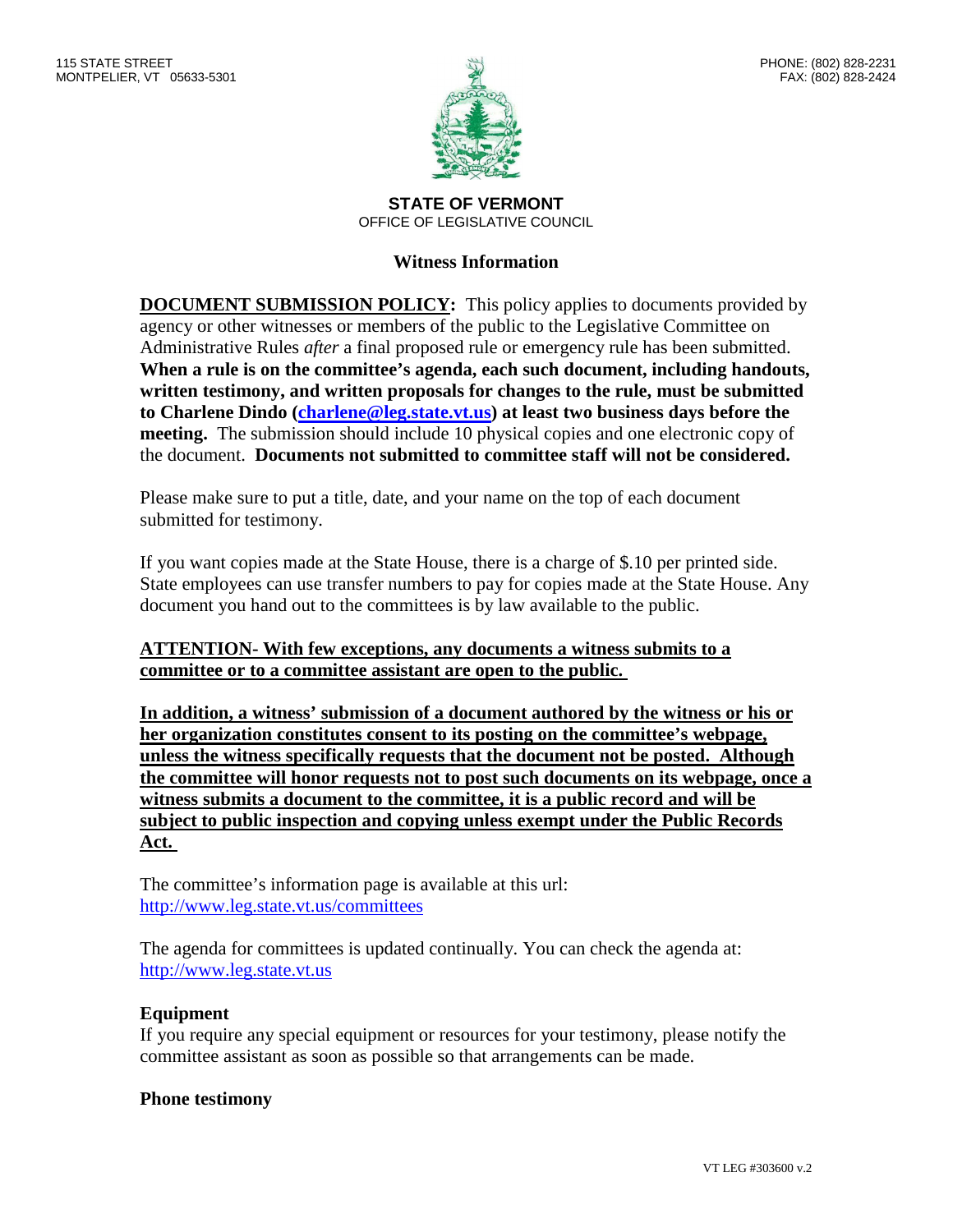

**STATE OF VERMONT** OFFICE OF LEGISLATIVE COUNCIL

### **Witness Information**

**DOCUMENT SUBMISSION POLICY:** This policy applies to documents provided by agency or other witnesses or members of the public to the Legislative Committee on Administrative Rules *after* a final proposed rule or emergency rule has been submitted. **When a rule is on the committee's agenda, each such document, including handouts, written testimony, and written proposals for changes to the rule, must be submitted to Charlene Dindo (charlene@leg.state.vt.us) at least two business days before the meeting.** The submission should include 10 physical copies and one electronic copy of the document. **Documents not submitted to committee staff will not be considered.**

Please make sure to put a title, date, and your name on the top of each document submitted for testimony.

If you want copies made at the State House, there is a charge of \$.10 per printed side. State employees can use transfer numbers to pay for copies made at the State House. Any document you hand out to the committees is by law available to the public.

### **ATTENTION- With few exceptions, any documents a witness submits to a committee or to a committee assistant are open to the public.**

**In addition, a witness' submission of a document authored by the witness or his or her organization constitutes consent to its posting on the committee's webpage, unless the witness specifically requests that the document not be posted. Although the committee will honor requests not to post such documents on its webpage, once a witness submits a document to the committee, it is a public record and will be subject to public inspection and copying unless exempt under the Public Records Act.**

The committee's information page is available at this url: http://www.leg.state.vt.us/committees

The agenda for committees is updated continually. You can check the agenda at: http://www.leg.state.vt.us

### **Equipment**

If you require any special equipment or resources for your testimony, please notify the committee assistant as soon as possible so that arrangements can be made.

### **Phone testimony**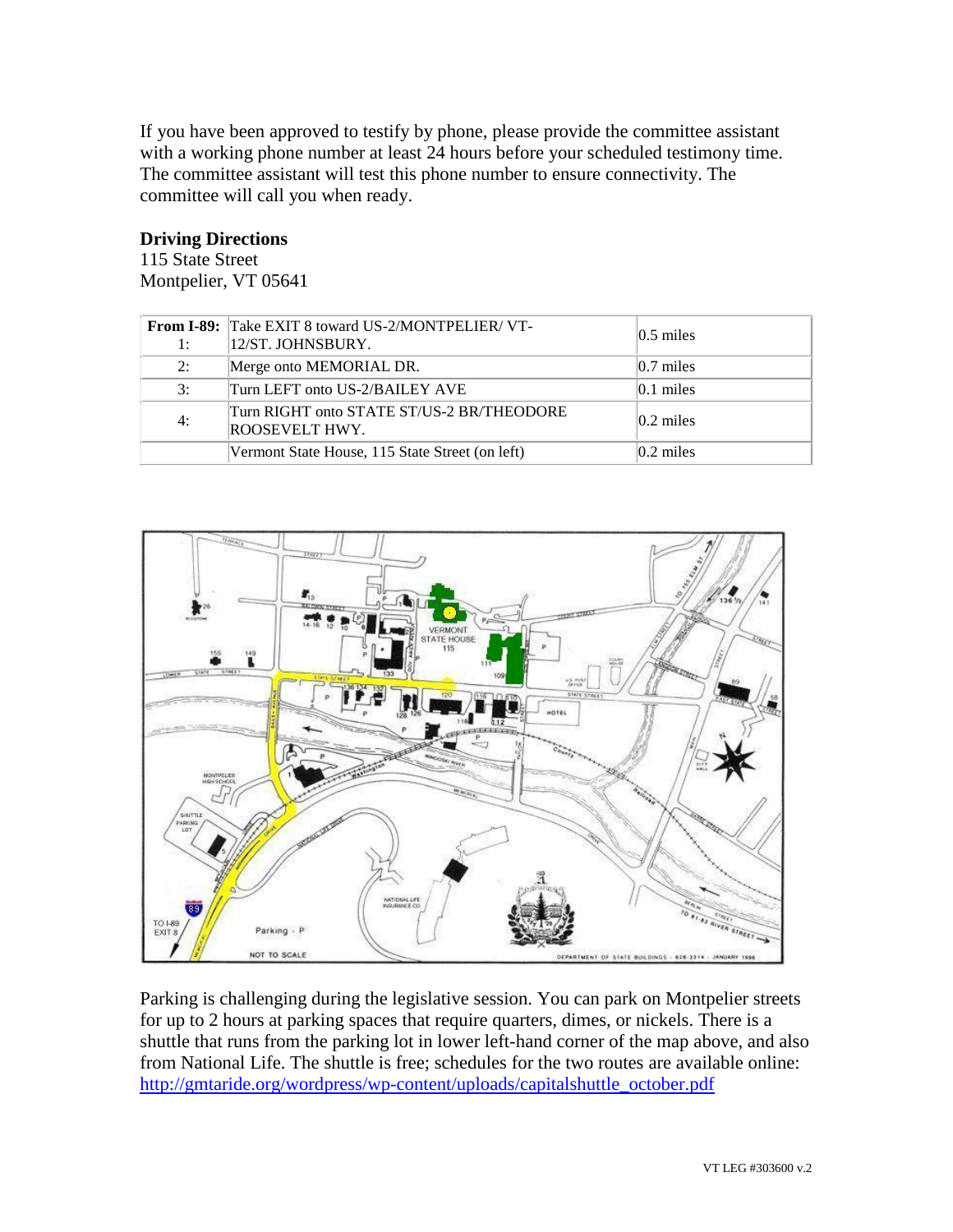If you have been approved to testify by phone, please provide the committee assistant with a working phone number at least 24 hours before your scheduled testimony time. The committee assistant will test this phone number to ensure connectivity. The committee will call you when ready.

### **Driving Directions**

115 State Street Montpelier, VT 05641

| 1: | <b>From I-89:</b> Take EXIT 8 toward US-2/MONTPELIER/VT-<br>12/ST. JOHNSBURY. | $ 0.5 \text{ miles} $ |
|----|-------------------------------------------------------------------------------|-----------------------|
| 2: | Merge onto MEMORIAL DR.                                                       | $ 0.7 \text{ miles} $ |
| 3: | Turn LEFT onto US-2/BAILEY AVE                                                | $ 0.1 \text{ miles} $ |
| 4: | Turn RIGHT onto STATE ST/US-2 BR/THEODORE<br>ROOSEVELT HWY.                   | $ 0.2 \text{ miles} $ |
|    | Vermont State House, 115 State Street (on left)                               | $ 0.2 \text{ miles} $ |



Parking is challenging during the legislative session. You can park on Montpelier streets for up to 2 hours at parking spaces that require quarters, dimes, or nickels. There is a shuttle that runs from the parking lot in lower left-hand corner of the map above, and also from National Life. The shuttle is free; schedules for the two routes are available online: http://gmtaride.org/wordpress/wp-content/uploads/capitalshuttle\_october.pdf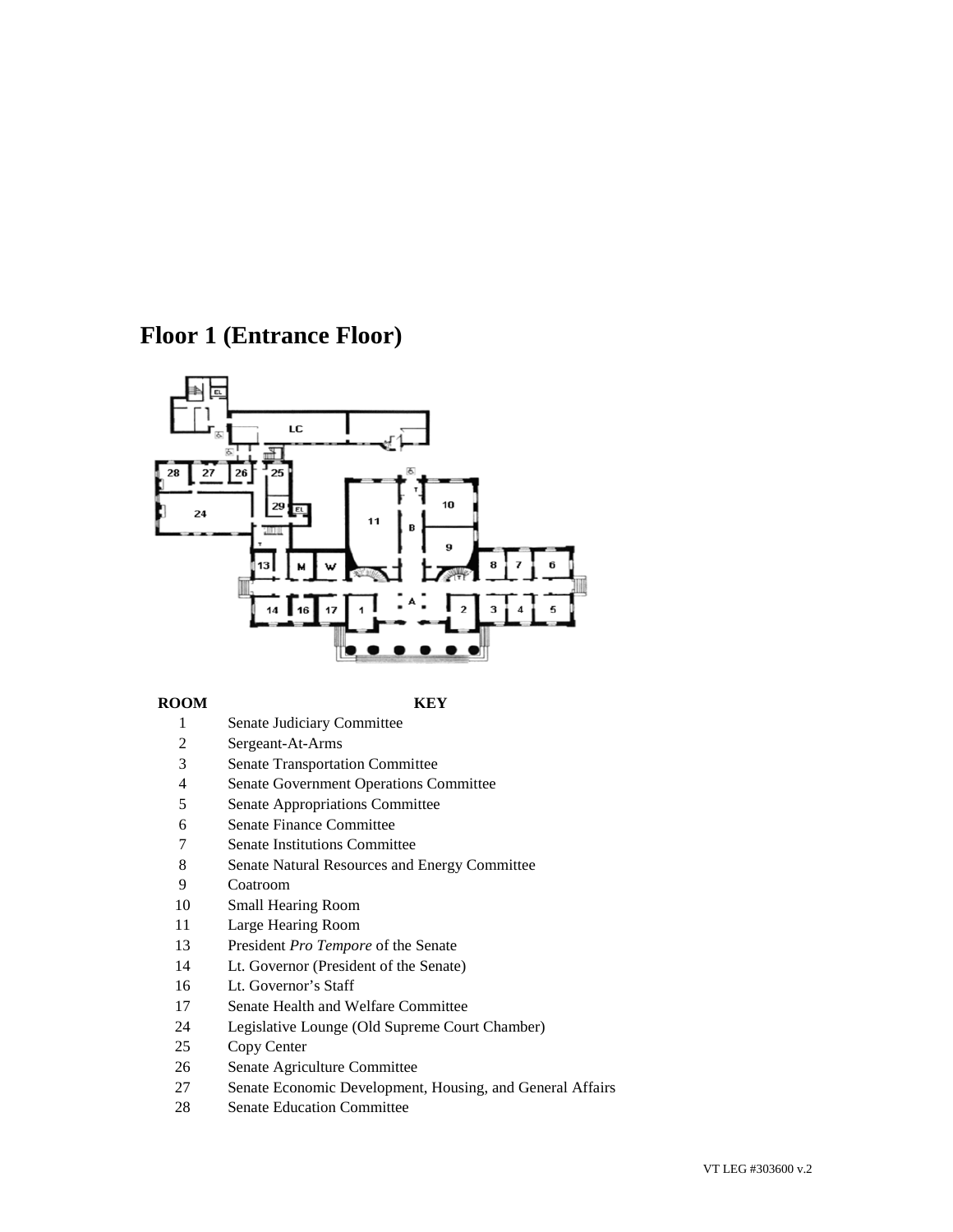## **Floor 1 (Entrance Floor)**



### **ROOM KEY**

- 1 Senate Judiciary Committee
- 2 Sergeant-At-Arms
- 3 Senate Transportation Committee
- 4 Senate Government Operations Committee
- 5 Senate Appropriations Committee
- 6 Senate Finance Committee
- 7 Senate Institutions Committee
- 8 Senate Natural Resources and Energy Committee
- 9 Coatroom
- 10 Small Hearing Room
- 11 Large Hearing Room
- 13 President *Pro Tempore* of the Senate
- 14 Lt. Governor (President of the Senate)
- 16 Lt. Governor's Staff
- 17 Senate Health and Welfare Committee
- 24 Legislative Lounge (Old Supreme Court Chamber)
- 25 Copy Center
- 26 Senate Agriculture Committee
- 27 Senate Economic Development, Housing, and General Affairs
- 28 Senate Education Committee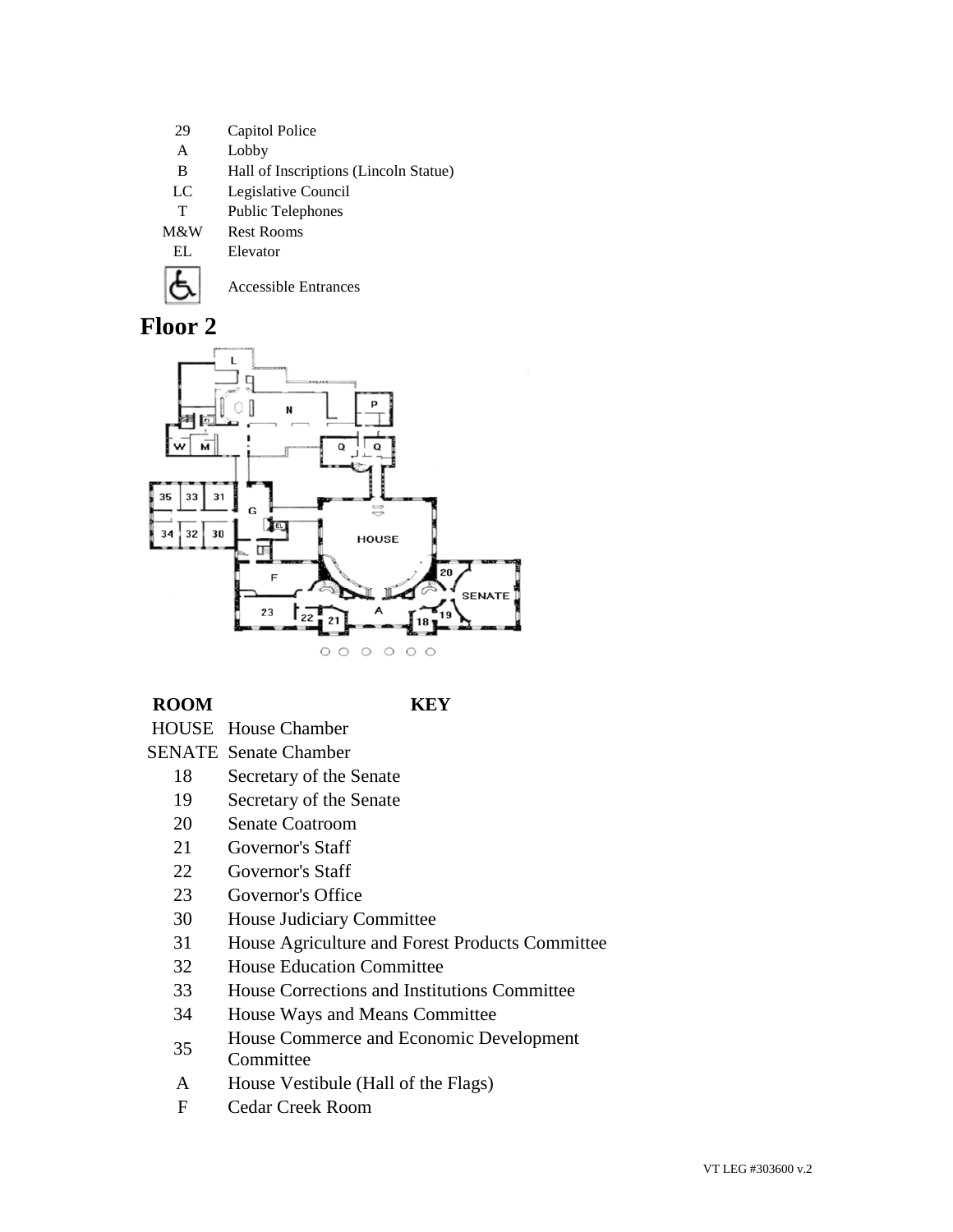- 29 Capitol Police
- A Lobby
- B Hall of Inscriptions (Lincoln Statue)
- LC Legislative Council
- T Public Telephones
- M&W Rest Rooms
	- EL Elevator



Accessible Entrances

# **Floor 2**



## **ROOM KEY**

- HOUSE House Chamber
- SENATE Senate Chamber
	- 18 Secretary of the Senate
	- 19 Secretary of the Senate
	- 20 Senate Coatroom
	- 21 Governor's Staff
	- 22 Governor's Staff
	- 23 Governor's Office
	- 30 House Judiciary Committee
	- 31 House Agriculture and Forest Products Committee
	- 32 House Education Committee
	- 33 House Corrections and Institutions Committee
	- 34 House Ways and Means Committee
	- <sup>35</sup> House Commerce and Economic Development **Committee**
	- A House Vestibule (Hall of the Flags)
	- F Cedar Creek Room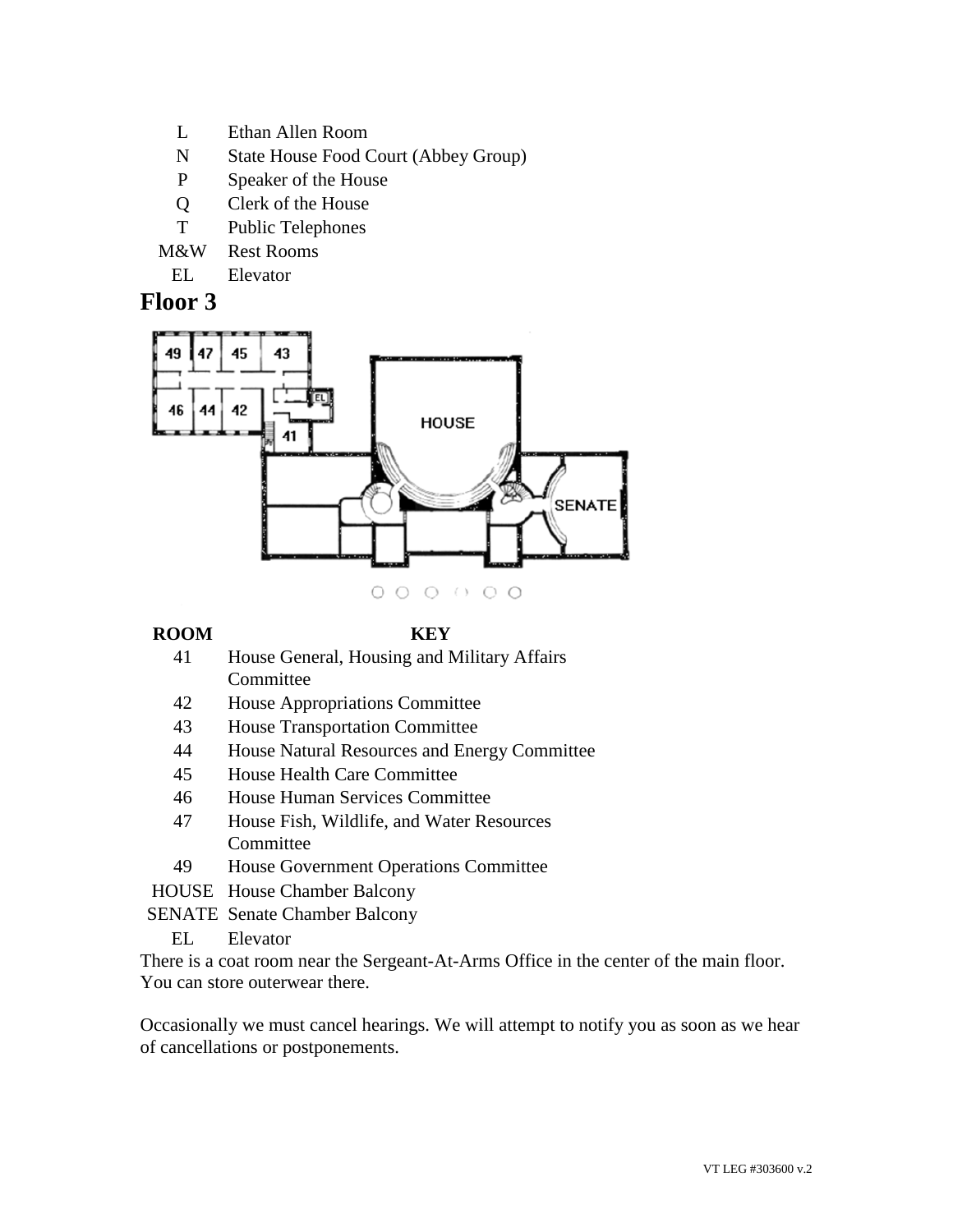- L Ethan Allen Room
- N State House Food Court (Abbey Group)
- P Speaker of the House
- Q Clerk of the House
- T Public Telephones
- M&W Rest Rooms
	- EL Elevator

## **Floor 3**



### **ROOM KEY**

- 41 House General, Housing and Military Affairs Committee
- 42 House Appropriations Committee
- 43 House Transportation Committee
- 44 House Natural Resources and Energy Committee
- 45 House Health Care Committee
- 46 House Human Services Committee
- 47 House Fish, Wildlife, and Water Resources Committee
- 49 House Government Operations Committee
- HOUSE House Chamber Balcony
- SENATE Senate Chamber Balcony
	- EL Elevator

There is a coat room near the Sergeant-At-Arms Office in the center of the main floor. You can store outerwear there.

Occasionally we must cancel hearings. We will attempt to notify you as soon as we hear of cancellations or postponements.